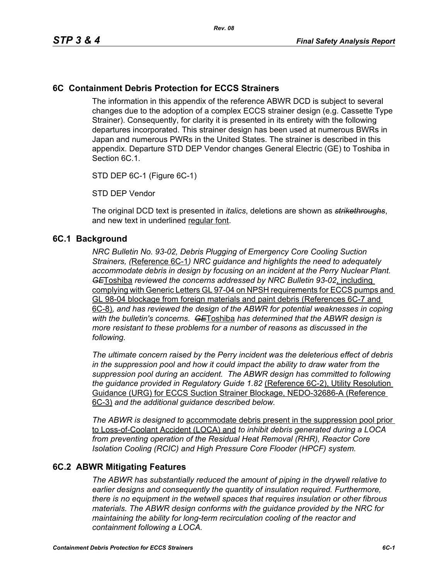## **6C Containment Debris Protection for ECCS Strainers**

The information in this appendix of the reference ABWR DCD is subject to several changes due to the adoption of a complex ECCS strainer design (e.g. Cassette Type Strainer). Consequently, for clarity it is presented in its entirety with the following departures incorporated. This strainer design has been used at numerous BWRs in Japan and numerous PWRs in the United States. The strainer is described in this appendix. Departure STD DEP Vendor changes General Electric (GE) to Toshiba in Section 6C.1.

STD DEP 6C-1 (Figure 6C-1)

STD DEP Vendor

The original DCD text is presented in *italics*, deletions are shown as *strikethroughs*, and new text in underlined regular font.

#### **6C.1 Background**

*NRC Bulletin No. 93-02, Debris Plugging of Emergency Core Cooling Suction Strainers, (*Reference 6C-1*) NRC guidance and highlights the need to adequately accommodate debris in design by focusing on an incident at the Perry Nuclear Plant. GE*Toshiba *reviewed the concerns addressed by NRC Bulletin 93-02*, including complying with Generic Letters GL 97-04 on NPSH requirements for ECCS pumps and GL 98-04 blockage from foreign materials and paint debris (References 6C-7 and 6C-8)*, and has reviewed the design of the ABWR for potential weaknesses in coping with the bulletin's concerns. GE*Toshiba *has determined that the ABWR design is more resistant to these problems for a number of reasons as discussed in the following.* 

*The ultimate concern raised by the Perry incident was the deleterious effect of debris in the suppression pool and how it could impact the ability to draw water from the suppression pool during an accident. The ABWR design has committed to following the guidance provided in Regulatory Guide 1.82* (Reference 6C-2), Utility Resolution Guidance (URG) for ECCS Suction Strainer Blockage, NEDO-32686-A (Reference 6C-3) *and the additional guidance described below.* 

*The ABWR is designed to* accommodate debris present in the suppression pool prior to Loss-of-Coolant Accident (LOCA) and *to inhibit debris generated during a LOCA from preventing operation of the Residual Heat Removal (RHR), Reactor Core Isolation Cooling (RCIC) and High Pressure Core Flooder (HPCF) system.* 

### **6C.2 ABWR Mitigating Features**

*The ABWR has substantially reduced the amount of piping in the drywell relative to earlier designs and consequently the quantity of insulation required. Furthermore, there is no equipment in the wetwell spaces that requires insulation or other fibrous materials. The ABWR design conforms with the guidance provided by the NRC for maintaining the ability for long-term recirculation cooling of the reactor and containment following a LOCA.*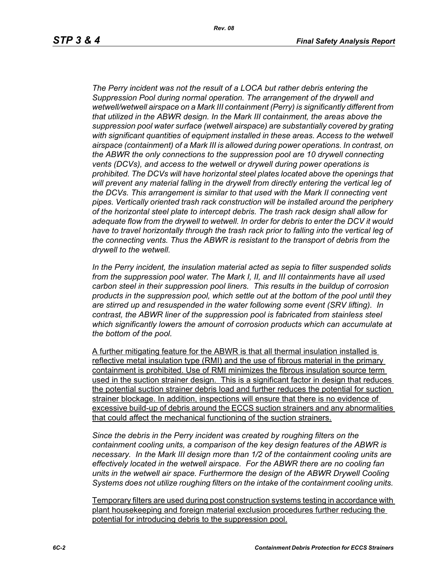*Rev. 08*

*The Perry incident was not the result of a LOCA but rather debris entering the Suppression Pool during normal operation. The arrangement of the drywell and wetwell/wetwell airspace on a Mark III containment (Perry) is significantly different from that utilized in the ABWR design. In the Mark III containment, the areas above the suppression pool water surface (wetwell airspace) are substantially covered by grating with significant quantities of equipment installed in these areas. Access to the wetwell airspace (containment) of a Mark III is allowed during power operations. In contrast, on the ABWR the only connections to the suppression pool are 10 drywell connecting vents (DCVs), and access to the wetwell or drywell during power operations is prohibited. The DCVs will have horizontal steel plates located above the openings that will prevent any material falling in the drywell from directly entering the vertical leg of the DCVs. This arrangement is similar to that used with the Mark II connecting vent pipes. Vertically oriented trash rack construction will be installed around the periphery of the horizontal steel plate to intercept debris. The trash rack design shall allow for adequate flow from the drywell to wetwell. In order for debris to enter the DCV it would*  have to travel horizontally through the trash rack prior to falling into the vertical leg of *the connecting vents. Thus the ABWR is resistant to the transport of debris from the drywell to the wetwell.*

*In the Perry incident, the insulation material acted as sepia to filter suspended solids from the suppression pool water. The Mark I, II, and III containments have all used carbon steel in their suppression pool liners. This results in the buildup of corrosion products in the suppression pool, which settle out at the bottom of the pool until they are stirred up and resuspended in the water following some event (SRV lifting). In contrast, the ABWR liner of the suppression pool is fabricated from stainless steel which significantly lowers the amount of corrosion products which can accumulate at the bottom of the pool.* 

A further mitigating feature for the ABWR is that all thermal insulation installed is reflective metal insulation type (RMI) and the use of fibrous material in the primary containment is prohibited. Use of RMI minimizes the fibrous insulation source term used in the suction strainer design. This is a significant factor in design that reduces the potential suction strainer debris load and further reduces the potential for suction strainer blockage. In addition, inspections will ensure that there is no evidence of excessive build-up of debris around the ECCS suction strainers and any abnormalities that could affect the mechanical functioning of the suction strainers.

*Since the debris in the Perry incident was created by roughing filters on the containment cooling units, a comparison of the key design features of the ABWR is necessary. In the Mark III design more than 1/2 of the containment cooling units are effectively located in the wetwell airspace. For the ABWR there are no cooling fan units in the wetwell air space. Furthermore the design of the ABWR Drywell Cooling Systems does not utilize roughing filters on the intake of the containment cooling units.* 

Temporary filters are used during post construction systems testing in accordance with plant housekeeping and foreign material exclusion procedures further reducing the potential for introducing debris to the suppression pool.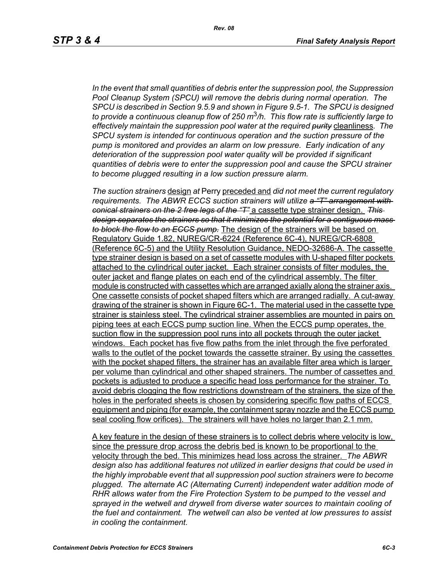*In the event that small quantities of debris enter the suppression pool, the Suppression Pool Cleanup System (SPCU) will remove the debris during normal operation. The SPCU is described in Section 9.5.9 and shown in Figure 9.5-1. The SPCU is designed to provide a continuous cleanup flow of 250 m*3*/h. This flow rate is sufficiently large to effectively maintain the suppression pool water at the required purity* cleanliness*. The SPCU system is intended for continuous operation and the suction pressure of the pump is monitored and provides an alarm on low pressure. Early indication of any deterioration of the suppression pool water quality will be provided if significant quantities of debris were to enter the suppression pool and cause the SPCU strainer to become plugged resulting in a low suction pressure alarm.* 

*The suction strainers* design *at* Perry preceded and *did not meet the current regulatory requirements. The ABWR ECCS suction strainers will utilize a "T" arrangement with conical strainers on the 2 free legs of the "T"* a cassette type strainer design. *This design separates the strainers so that it minimizes the potential for a contiguous mass to block the flow to an ECCS pump.* The design of the strainers will be based on Regulatory Guide 1.82, NUREG/CR-6224 (Reference 6C-4), NUREG/CR-6808 (Reference 6C-5) and the Utility Resolution Guidance, NEDO-32686-A. The cassette type strainer design is based on a set of cassette modules with U-shaped filter pockets attached to the cylindrical outer jacket. Each strainer consists of filter modules, the outer jacket and flange plates on each end of the cylindrical assembly. The filter module is constructed with cassettes which are arranged axially along the strainer axis. One cassette consists of pocket shaped filters which are arranged radially. A cut-away drawing of the strainer is shown in Figure 6C-1. The material used in the cassette type strainer is stainless steel. The cylindrical strainer assemblies are mounted in pairs on piping tees at each ECCS pump suction line. When the ECCS pump operates, the suction flow in the suppression pool runs into all pockets through the outer jacket windows. Each pocket has five flow paths from the inlet through the five perforated walls to the outlet of the pocket towards the cassette strainer. By using the cassettes with the pocket shaped filters, the strainer has an available filter area which is larger per volume than cylindrical and other shaped strainers. The number of cassettes and pockets is adjusted to produce a specific head loss performance for the strainer. To avoid debris clogging the flow restrictions downstream of the strainers, the size of the holes in the perforated sheets is chosen by considering specific flow paths of ECCS equipment and piping (for example, the containment spray nozzle and the ECCS pump seal cooling flow orifices). The strainers will have holes no larger than 2.1 mm.

A key feature in the design of these strainers is to collect debris where velocity is low, since the pressure drop across the debris bed is known to be proportional to the velocity through the bed. This minimizes head loss across the strainer. *The ABWR design also has additional features not utilized in earlier designs that could be used in the highly improbable event that all suppression pool suction strainers were to become plugged. The alternate AC (Alternating Current) independent water addition mode of RHR allows water from the Fire Protection System to be pumped to the vessel and*  sprayed in the wetwell and drywell from diverse water sources to maintain cooling of *the fuel and containment. The wetwell can also be vented at low pressures to assist in cooling the containment.*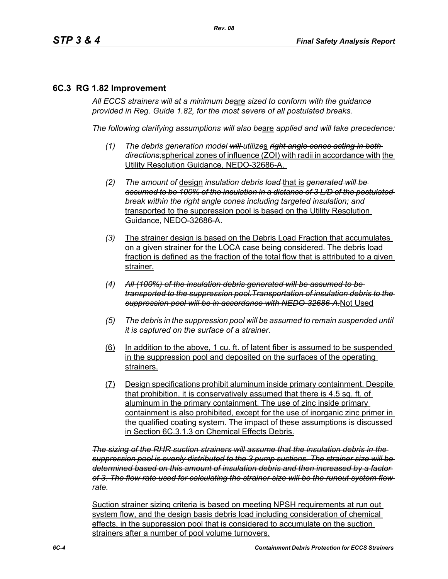## **6C.3 RG 1.82 Improvement**

*All ECCS strainers will at a minimum be*are *sized to conform with the guidance provided in Reg. Guide 1.82, for the most severe of all postulated breaks.*

*The following clarifying assumptions will also be*are *applied and will take precedence:*

- *(1) The debris generation model will utilize*s *right angle cones acting in both directions;*spherical zones of influence (ZOI) with radii in accordance with the Utility Resolution Guidance, NEDO-32686-A.
- *(2) The amount of* design *insulation debris load* that is *generated will be assumed to be 100% of the insulation in a distance of 3 L/D of the postulated break within the right angle cones including targeted insulation; and* transported to the suppression pool is based on the Utility Resolution Guidance, NEDO-32686-A.
- *(3)* The strainer design is based on the Debris Load Fraction that accumulates on a given strainer for the LOCA case being considered. The debris load fraction is defined as the fraction of the total flow that is attributed to a given strainer.
- *(4) All (100%) of the insulation debris generated will be assumed to be transported to the suppression pool.Transportation of insulation debris to the suppression pool will be in accordance with NEDO-32686-A.*Not Used
- *(5) The debris in the suppression pool will be assumed to remain suspended until it is captured on the surface of a strainer.*
- (6) In addition to the above, 1 cu. ft. of latent fiber is assumed to be suspended in the suppression pool and deposited on the surfaces of the operating strainers.
- (7) Design specifications prohibit aluminum inside primary containment. Despite that prohibition, it is conservatively assumed that there is 4.5 sq. ft. of aluminum in the primary containment. The use of zinc inside primary containment is also prohibited, except for the use of inorganic zinc primer in the qualified coating system. The impact of these assumptions is discussed in Section 6C.3.1.3 on Chemical Effects Debris.

*The sizing of the RHR suction strainers will assume that the insulation debris in the suppression pool is evenly distributed to the 3 pump suctions. The strainer size will be determined based on this amount of insulation debris and then increased by a factor of 3. The flow rate used for calculating the strainer size will be the runout system flow rate.*

Suction strainer sizing criteria is based on meeting NPSH requirements at run out system flow, and the design basis debris load including consideration of chemical effects, in the suppression pool that is considered to accumulate on the suction strainers after a number of pool volume turnovers.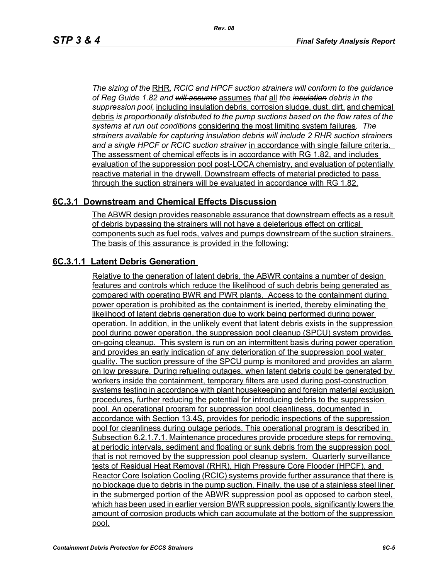*The sizing of the* RHR*, RCIC and HPCF suction strainers will conform to the guidance of Reg Guide 1.82 and will assume* assumes *that* all *the insulation debris in the suppression pool,* including insulation debris, corrosion sludge, dust, dirt, and chemical debris *is proportionally distributed to the pump suctions based on the flow rates of the systems at run out conditions* considering the most limiting system failures*. The strainers available for capturing insulation debris will include 2 RHR suction strainers and a single HPCF or RCIC suction strainer* in accordance with single failure criteria. The assessment of chemical effects is in accordance with RG 1.82, and includes evaluation of the suppression pool post-LOCA chemistry, and evaluation of potentially reactive material in the drywell. Downstream effects of material predicted to pass through the suction strainers will be evaluated in accordance with RG 1.82.

### **6C.3.1 Downstream and Chemical Effects Discussion**

The ABWR design provides reasonable assurance that downstream effects as a result of debris bypassing the strainers will not have a deleterious effect on critical components such as fuel rods, valves and pumps downstream of the suction strainers. The basis of this assurance is provided in the following:

## **6C.3.1.1 Latent Debris Generation**

Relative to the generation of latent debris, the ABWR contains a number of design features and controls which reduce the likelihood of such debris being generated as compared with operating BWR and PWR plants. Access to the containment during power operation is prohibited as the containment is inerted, thereby eliminating the likelihood of latent debris generation due to work being performed during power operation. In addition, in the unlikely event that latent debris exists in the suppression pool during power operation, the suppression pool cleanup (SPCU) system provides on-going cleanup. This system is run on an intermittent basis during power operation and provides an early indication of any deterioration of the suppression pool water quality. The suction pressure of the SPCU pump is monitored and provides an alarm on low pressure. During refueling outages, when latent debris could be generated by workers inside the containment, temporary filters are used during post-construction systems testing in accordance with plant housekeeping and foreign material exclusion procedures, further reducing the potential for introducing debris to the suppression pool. An operational program for suppression pool cleanliness, documented in accordance with Section 13.4S, provides for periodic inspections of the suppression pool for cleanliness during outage periods. This operational program is described in Subsection 6.2.1.7.1. Maintenance procedures provide procedure steps for removing, at periodic intervals, sediment and floating or sunk debris from the suppression pool that is not removed by the suppression pool cleanup system. Quarterly surveillance tests of Residual Heat Removal (RHR), High Pressure Core Flooder (HPCF), and Reactor Core Isolation Cooling (RCIC) systems provide further assurance that there is no blockage due to debris in the pump suction. Finally, the use of a stainless steel liner in the submerged portion of the ABWR suppression pool as opposed to carbon steel, which has been used in earlier version BWR suppression pools, significantly lowers the amount of corrosion products which can accumulate at the bottom of the suppression pool.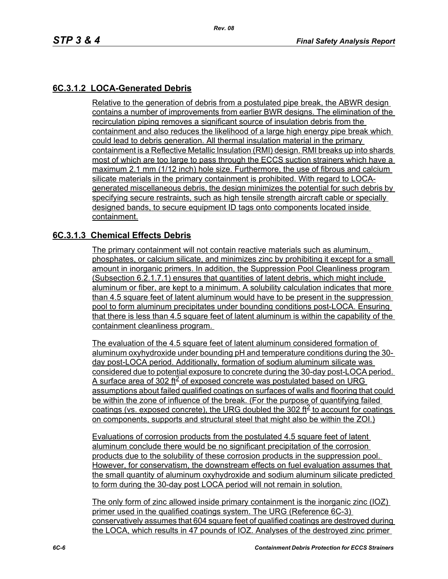## **6C.3.1.2 LOCA-Generated Debris**

Relative to the generation of debris from a postulated pipe break, the ABWR design contains a number of improvements from earlier BWR designs. The elimination of the recirculation piping removes a significant source of insulation debris from the containment and also reduces the likelihood of a large high energy pipe break which could lead to debris generation. All thermal insulation material in the primary containment is a Reflective Metallic Insulation (RMI) design. RMI breaks up into shards most of which are too large to pass through the ECCS suction strainers which have a maximum 2.1 mm (1/12 inch) hole size. Furthermore, the use of fibrous and calcium silicate materials in the primary containment is prohibited. With regard to LOCAgenerated miscellaneous debris, the design minimizes the potential for such debris by specifying secure restraints, such as high tensile strength aircraft cable or specially designed bands, to secure equipment ID tags onto components located inside containment.

### **6C.3.1.3 Chemical Effects Debris**

The primary containment will not contain reactive materials such as aluminum, phosphates, or calcium silicate, and minimizes zinc by prohibiting it except for a small amount in inorganic primers. In addition, the Suppression Pool Cleanliness program (Subsection 6.2.1.7.1) ensures that quantities of latent debris, which might include aluminum or fiber, are kept to a minimum. A solubility calculation indicates that more than 4.5 square feet of latent aluminum would have to be present in the suppression pool to form aluminum precipitates under bounding conditions post-LOCA. Ensuring that there is less than 4.5 square feet of latent aluminum is within the capability of the containment cleanliness program.

The evaluation of the 4.5 square feet of latent aluminum considered formation of aluminum oxyhydroxide under bounding pH and temperature conditions during the 30 day post-LOCA period. Additionally, formation of sodium aluminum silicate was considered due to potential exposure to concrete during the 30-day post-LOCA period. A surface area of 302 ft $\leq$  of exposed concrete was postulated based on URG assumptions about failed qualified coatings on surfaces of walls and flooring that could be within the zone of influence of the break. (For the purpose of quantifying failed coatings (vs. exposed concrete), the URG doubled the 302 ft<sup>2</sup> to account for coatings on components, supports and structural steel that might also be within the ZOI.)

Evaluations of corrosion products from the postulated 4.5 square feet of latent aluminum conclude there would be no significant precipitation of the corrosion products due to the solubility of these corrosion products in the suppression pool. However, for conservatism, the downstream effects on fuel evaluation assumes that the small quantity of aluminum oxyhydroxide and sodium aluminum silicate predicted to form during the 30-day post LOCA period will not remain in solution.

The only form of zinc allowed inside primary containment is the inorganic zinc (IOZ) primer used in the qualified coatings system. The URG (Reference 6C-3) conservatively assumes that 604 square feet of qualified coatings are destroyed during the LOCA, which results in 47 pounds of IOZ. Analyses of the destroyed zinc primer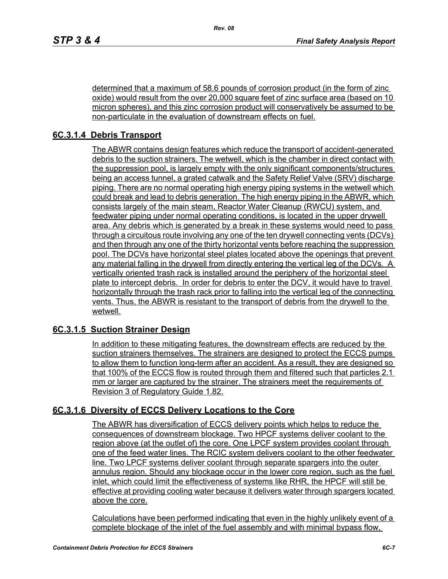determined that a maximum of 58.6 pounds of corrosion product (in the form of zinc oxide) would result from the over 20,000 square feet of zinc surface area (based on 10 micron spheres), and this zinc corrosion product will conservatively be assumed to be non-particulate in the evaluation of downstream effects on fuel.

# **6C.3.1.4 Debris Transport**

The ABWR contains design features which reduce the transport of accident-generated debris to the suction strainers. The wetwell, which is the chamber in direct contact with the suppression pool, is largely empty with the only significant components/structures being an access tunnel, a grated catwalk and the Safety Relief Valve (SRV) discharge piping. There are no normal operating high energy piping systems in the wetwell which could break and lead to debris generation. The high energy piping in the ABWR, which consists largely of the main steam, Reactor Water Cleanup (RWCU) system, and feedwater piping under normal operating conditions, is located in the upper drywell area. Any debris which is generated by a break in these systems would need to pass through a circuitous route involving any one of the ten drywell connecting vents (DCVs) and then through any one of the thirty horizontal vents before reaching the suppression pool. The DCVs have horizontal steel plates located above the openings that prevent any material falling in the drywell from directly entering the vertical leg of the DCVs. A vertically oriented trash rack is installed around the periphery of the horizontal steel plate to intercept debris. In order for debris to enter the DCV, it would have to travel horizontally through the trash rack prior to falling into the vertical leg of the connecting vents. Thus, the ABWR is resistant to the transport of debris from the drywell to the wetwell.

## **6C.3.1.5 Suction Strainer Design**

In addition to these mitigating features, the downstream effects are reduced by the suction strainers themselves. The strainers are designed to protect the ECCS pumps to allow them to function long-term after an accident. As a result, they are designed so that 100% of the ECCS flow is routed through them and filtered such that particles 2.1 mm or larger are captured by the strainer. The strainers meet the requirements of Revision 3 of Regulatory Guide 1.82.

## **6C.3.1.6 Diversity of ECCS Delivery Locations to the Core**

The ABWR has diversification of ECCS delivery points which helps to reduce the consequences of downstream blockage. Two HPCF systems deliver coolant to the region above (at the outlet of) the core. One LPCF system provides coolant through one of the feed water lines. The RCIC system delivers coolant to the other feedwater line. Two LPCF systems deliver coolant through separate spargers into the outer annulus region. Should any blockage occur in the lower core region, such as the fuel inlet, which could limit the effectiveness of systems like RHR, the HPCF will still be effective at providing cooling water because it delivers water through spargers located above the core.

Calculations have been performed indicating that even in the highly unlikely event of a complete blockage of the inlet of the fuel assembly and with minimal bypass flow,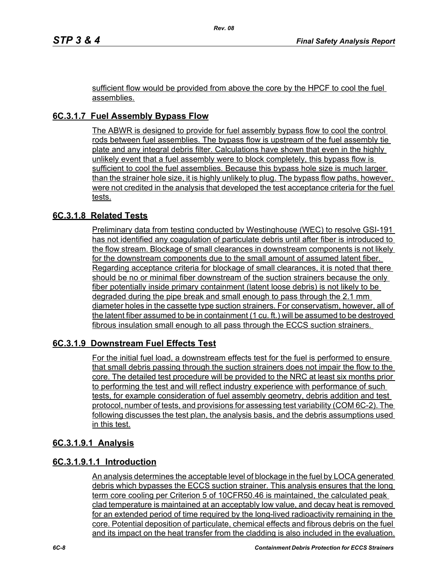sufficient flow would be provided from above the core by the HPCF to cool the fuel assemblies.

# **6C.3.1.7 Fuel Assembly Bypass Flow**

The ABWR is designed to provide for fuel assembly bypass flow to cool the control rods between fuel assemblies. The bypass flow is upstream of the fuel assembly tie plate and any integral debris filter. Calculations have shown that even in the highly unlikely event that a fuel assembly were to block completely, this bypass flow is sufficient to cool the fuel assemblies. Because this bypass hole size is much larger than the strainer hole size, it is highly unlikely to plug. The bypass flow paths, however, were not credited in the analysis that developed the test acceptance criteria for the fuel tests.

## **6C.3.1.8 Related Tests**

Preliminary data from testing conducted by Westinghouse (WEC) to resolve GSI-191 has not identified any coagulation of particulate debris until after fiber is introduced to the flow stream. Blockage of small clearances in downstream components is not likely for the downstream components due to the small amount of assumed latent fiber. Regarding acceptance criteria for blockage of small clearances, it is noted that there should be no or minimal fiber downstream of the suction strainers because the only fiber potentially inside primary containment (latent loose debris) is not likely to be degraded during the pipe break and small enough to pass through the 2.1 mm diameter holes in the cassette type suction strainers. For conservatism, however, all of the latent fiber assumed to be in containment (1 cu. ft.) will be assumed to be destroyed fibrous insulation small enough to all pass through the ECCS suction strainers.

## **6C.3.1.9 Downstream Fuel Effects Test**

For the initial fuel load, a downstream effects test for the fuel is performed to ensure that small debris passing through the suction strainers does not impair the flow to the core. The detailed test procedure will be provided to the NRC at least six months prior to performing the test and will reflect industry experience with performance of such tests, for example consideration of fuel assembly geometry, debris addition and test protocol, number of tests, and provisions for assessing test variability (COM 6C-2). The following discusses the test plan, the analysis basis, and the debris assumptions used in this test.

### **6C.3.1.9.1 Analysis**

## **6C.3.1.9.1.1 Introduction**

An analysis determines the acceptable level of blockage in the fuel by LOCA generated debris which bypasses the ECCS suction strainer. This analysis ensures that the long term core cooling per Criterion 5 of 10CFR50.46 is maintained, the calculated peak clad temperature is maintained at an acceptably low value, and decay heat is removed for an extended period of time required by the long-lived radioactivity remaining in the core. Potential deposition of particulate, chemical effects and fibrous debris on the fuel and its impact on the heat transfer from the cladding is also included in the evaluation.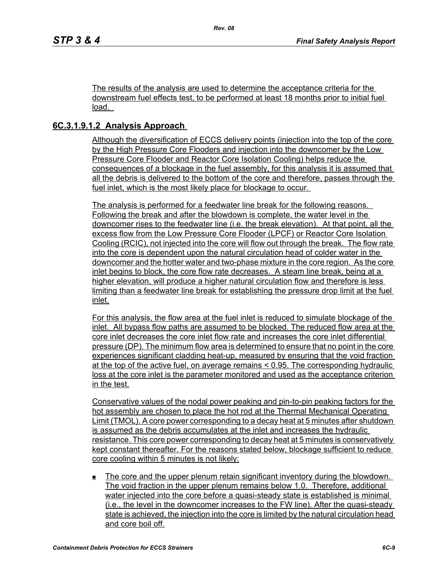The results of the analysis are used to determine the acceptance criteria for the downstream fuel effects test, to be performed at least 18 months prior to initial fuel load.

## **6C.3.1.9.1.2 Analysis Approach**

Although the diversification of ECCS delivery points (injection into the top of the core by the High Pressure Core Flooders and injection into the downcomer by the Low Pressure Core Flooder and Reactor Core Isolation Cooling) helps reduce the consequences of a blockage in the fuel assembly, for this analysis it is assumed that all the debris is delivered to the bottom of the core and therefore, passes through the fuel inlet, which is the most likely place for blockage to occur.

The analysis is performed for a feedwater line break for the following reasons. Following the break and after the blowdown is complete, the water level in the downcomer rises to the feedwater line (i.e. the break elevation). At that point, all the excess flow from the Low Pressure Core Flooder (LPCF) or Reactor Core Isolation Cooling (RCIC), not injected into the core will flow out through the break. The flow rate into the core is dependent upon the natural circulation head of colder water in the downcomer and the hotter water and two-phase mixture in the core region. As the core inlet begins to block, the core flow rate decreases. A steam line break, being at a higher elevation, will produce a higher natural circulation flow and therefore is less limiting than a feedwater line break for establishing the pressure drop limit at the fuel inlet.

For this analysis, the flow area at the fuel inlet is reduced to simulate blockage of the inlet. All bypass flow paths are assumed to be blocked. The reduced flow area at the core inlet decreases the core inlet flow rate and increases the core inlet differential pressure (DP). The minimum flow area is determined to ensure that no point in the core experiences significant cladding heat-up, measured by ensuring that the void fraction at the top of the active fuel, on average remains < 0.95. The corresponding hydraulic loss at the core inlet is the parameter monitored and used as the acceptance criterion in the test.

Conservative values of the nodal power peaking and pin-to-pin peaking factors for the hot assembly are chosen to place the hot rod at the Thermal Mechanical Operating Limit (TMOL). A core power corresponding to a decay heat at 5 minutes after shutdown is assumed as the debris accumulates at the inlet and increases the hydraulic resistance. This core power corresponding to decay heat at 5 minutes is conservatively kept constant thereafter. For the reasons stated below, blockage sufficient to reduce core cooling within 5 minutes is not likely:

 The core and the upper plenum retain significant inventory during the blowdown. The void fraction in the upper plenum remains below 1.0. Therefore, additional water injected into the core before a quasi-steady state is established is minimal (i.e., the level in the downcomer increases to the FW line). After the quasi-steady state is achieved, the injection into the core is limited by the natural circulation head and core boil off.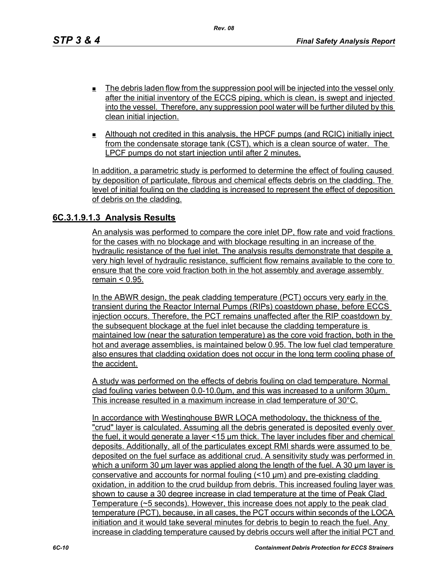- $\blacksquare$  The debris laden flow from the suppression pool will be injected into the vessel only after the initial inventory of the ECCS piping, which is clean, is swept and injected into the vessel. Therefore, any suppression pool water will be further diluted by this clean initial injection.
- Although not credited in this analysis, the HPCF pumps (and RCIC) initially inject from the condensate storage tank (CST), which is a clean source of water. The LPCF pumps do not start injection until after 2 minutes.

In addition, a parametric study is performed to determine the effect of fouling caused by deposition of particulate, fibrous and chemical effects debris on the cladding. The level of initial fouling on the cladding is increased to represent the effect of deposition of debris on the cladding.

### **6C.3.1.9.1.3 Analysis Results**

An analysis was performed to compare the core inlet DP, flow rate and void fractions for the cases with no blockage and with blockage resulting in an increase of the hydraulic resistance of the fuel inlet. The analysis results demonstrate that despite a very high level of hydraulic resistance, sufficient flow remains available to the core to ensure that the core void fraction both in the hot assembly and average assembly remain < 0.95.

In the ABWR design, the peak cladding temperature (PCT) occurs very early in the transient during the Reactor Internal Pumps (RIPs) coastdown phase, before ECCS injection occurs. Therefore, the PCT remains unaffected after the RIP coastdown by the subsequent blockage at the fuel inlet because the cladding temperature is maintained low (near the saturation temperature) as the core void fraction, both in the hot and average assemblies, is maintained below 0.95. The low fuel clad temperature also ensures that cladding oxidation does not occur in the long term cooling phase of the accident.

A study was performed on the effects of debris fouling on clad temperature. Normal clad fouling varies between 0.0-10.0μm, and this was increased to a uniform 30μm. This increase resulted in a maximum increase in clad temperature of 30°C.

In accordance with Westinghouse BWR LOCA methodology, the thickness of the "crud" layer is calculated. Assuming all the debris generated is deposited evenly over the fuel, it would generate a layer <15 μm thick. The layer includes fiber and chemical deposits. Additionally, all of the particulates except RMI shards were assumed to be deposited on the fuel surface as additional crud. A sensitivity study was performed in which a uniform 30 μm layer was applied along the length of the fuel. A 30 μm layer is conservative and accounts for normal fouling (<10 μm) and pre-existing cladding oxidation, in addition to the crud buildup from debris. This increased fouling layer was shown to cause a 30 degree increase in clad temperature at the time of Peak Clad Temperature (~5 seconds). However, this increase does not apply to the peak clad temperature (PCT), because, in all cases, the PCT occurs within seconds of the LOCA initiation and it would take several minutes for debris to begin to reach the fuel. Any increase in cladding temperature caused by debris occurs well after the initial PCT and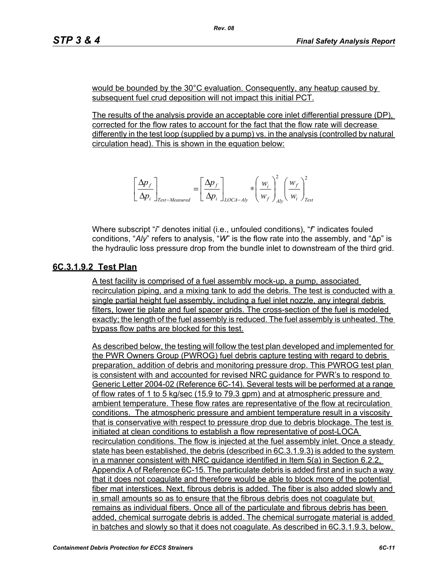would be bounded by the 30°C evaluation. Consequently, any heatup caused by subsequent fuel crud deposition will not impact this initial PCT.

The results of the analysis provide an acceptable core inlet differential pressure (DP), corrected for the flow rates to account for the fact that the flow rate will decrease differently in the test loop (supplied by a pump) vs. in the analysis (controlled by natural circulation head). This is shown in the equation below:

$$
\left[\frac{\Delta p_f}{\Delta p_i}\right]_{Test-Measured} = \left[\frac{\Delta p_f}{\Delta p_i}\right]_{LOCA-Aly} * \left(\frac{w_i}{w_f}\right)_{Ab}^2 \left(\frac{w_f}{w_i}\right)_{Test}^2
$$

Where subscript "*i*" denotes initial (i.e., unfouled conditions), "*f*" indicates fouled conditions, "*Aly*" refers to analysis, "*W*" is the flow rate into the assembly, and "∆p" is the hydraulic loss pressure drop from the bundle inlet to downstream of the third grid.

### **6C.3.1.9.2 Test Plan**

A test facility is comprised of a fuel assembly mock-up, a pump, associated recirculation piping, and a mixing tank to add the debris. The test is conducted with a single partial height fuel assembly, including a fuel inlet nozzle, any integral debris filters, lower tie plate and fuel spacer grids. The cross-section of the fuel is modeled exactly; the length of the fuel assembly is reduced. The fuel assembly is unheated. The bypass flow paths are blocked for this test.

As described below, the testing will follow the test plan developed and implemented for the PWR Owners Group (PWROG) fuel debris capture testing with regard to debris preparation, addition of debris and monitoring pressure drop. This PWROG test plan is consistent with and accounted for revised NRC guidance for PWR's to respond to Generic Letter 2004-02 (Reference 6C-14). Several tests will be performed at a range of flow rates of 1 to 5 kg/sec (15.9 to 79.3 gpm) and at atmospheric pressure and ambient temperature. These flow rates are representative of the flow at recirculation conditions. The atmospheric pressure and ambient temperature result in a viscosity that is conservative with respect to pressure drop due to debris blockage. The test is initiated at clean conditions to establish a flow representative of post-LOCA recirculation conditions. The flow is injected at the fuel assembly inlet. Once a steady state has been established, the debris (described in 6C.3.1.9.3) is added to the system in a manner consistent with NRC guidance identified in Item 5(a) in Section 6.2.2, Appendix A of Reference 6C-15. The particulate debris is added first and in such a way that it does not coagulate and therefore would be able to block more of the potential fiber mat interstices. Next, fibrous debris is added. The fiber is also added slowly and in small amounts so as to ensure that the fibrous debris does not coagulate but remains as individual fibers. Once all of the particulate and fibrous debris has been added, chemical surrogate debris is added. The chemical surrogate material is added in batches and slowly so that it does not coagulate. As described in 6C.3.1.9.3, below,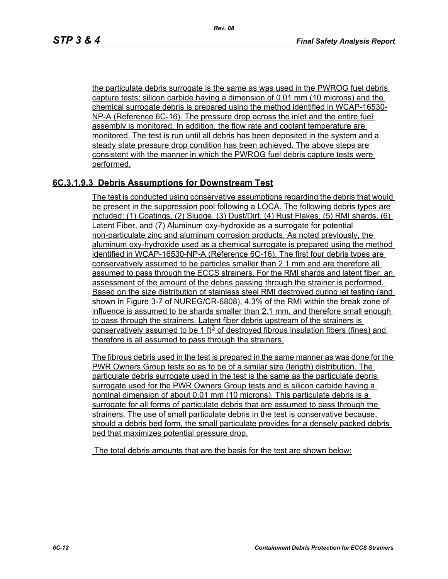the particulate debris surrogate is the same as was used in the PWROG fuel debris capture tests; silicon carbide having a dimension of 0.01 mm (10 microns) and the chemical surrogate debris is prepared using the method identified in WCAP-16530- NP-A (Reference 6C-16). The pressure drop across the inlet and the entire fuel assembly is monitored. In addition, the flow rate and coolant temperature are monitored. The test is run until all debris has been deposited in the system and a steady state pressure drop condition has been achieved. The above steps are consistent with the manner in which the PWROG fuel debris capture tests were performed.

## **6C.3.1.9.3 Debris Assumptions for Downstream Test**

The test is conducted using conservative assumptions regarding the debris that would be present in the suppression pool following a LOCA. The following debris types are included: (1) Coatings, (2) Sludge, (3) Dust/Dirt, (4) Rust Flakes, (5) RMI shards, (6) Latent Fiber, and (7) Aluminum oxy-hydroxide as a surrogate for potential non-particulate zinc and aluminum corrosion products. As noted previously, the aluminum oxy-hydroxide used as a chemical surrogate is prepared using the method identified in WCAP-16530-NP-A (Reference 6C-16). The first four debris types are conservatively assumed to be particles smaller than 2.1 mm and are therefore all assumed to pass through the ECCS strainers. For the RMI shards and latent fiber, an assessment of the amount of the debris passing through the strainer is performed. Based on the size distribution of stainless steel RMI destroyed during jet testing (and shown in Figure 3-7 of NUREG/CR-6808), 4.3% of the RMI within the break zone of influence is assumed to be shards smaller than 2.1 mm, and therefore small enough to pass through the strainers. Latent fiber debris upstream of the strainers is conservatively assumed to be 1 ft<sup>3</sup> of destroyed fibrous insulation fibers (fines) and therefore is all assumed to pass through the strainers.

The fibrous debris used in the test is prepared in the same manner as was done for the PWR Owners Group tests so as to be of a similar size (length) distribution. The particulate debris surrogate used in the test is the same as the particulate debris surrogate used for the PWR Owners Group tests and is silicon carbide having a nominal dimension of about 0.01 mm (10 microns). This particulate debris is a surrogate for all forms of particulate debris that are assumed to pass through the strainers. The use of small particulate debris in the test is conservative because, should a debris bed form, the small particulate provides for a densely packed debris bed that maximizes potential pressure drop.

The total debris amounts that are the basis for the test are shown below: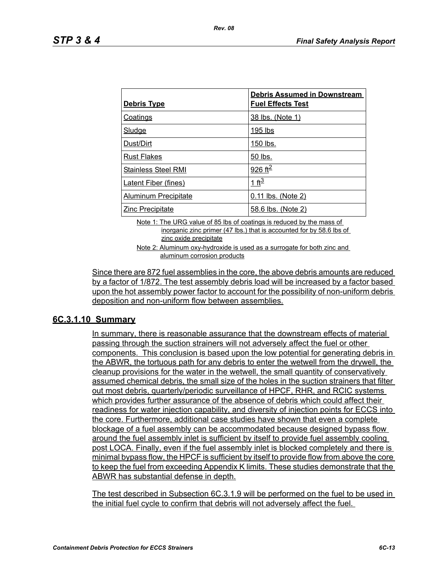| <u>Debris Type</u>          | <b>Debris Assumed in Downstream</b><br><b>Fuel Effects Test</b> |
|-----------------------------|-----------------------------------------------------------------|
| <b>Coatings</b>             | 38 lbs. (Note 1)                                                |
| Sludge                      | 195 lbs                                                         |
| Dust/Dirt                   | 150 lbs.                                                        |
| <b>Rust Flakes</b>          | 50 lbs.                                                         |
| <b>Stainless Steel RMI</b>  | 926 ft <sup>2</sup>                                             |
| <b>Latent Fiber (fines)</b> | 1 ft <sup>3</sup>                                               |
| Aluminum Precipitate        | 0.11 lbs. (Note 2)                                              |
| <b>Zinc Precipitate</b>     | 58.6 lbs. (Note 2)                                              |

Note 1: The URG value of 85 lbs of coatings is reduced by the mass of inorganic zinc primer (47 lbs.) that is accounted for by 58.6 lbs of zinc oxide precipitate

Note 2: Aluminum oxy-hydroxide is used as a surrogate for both zinc and aluminum corrosion products

Since there are 872 fuel assemblies in the core, the above debris amounts are reduced by a factor of 1/872. The test assembly debris load will be increased by a factor based upon the hot assembly power factor to account for the possibility of non-uniform debris deposition and non-uniform flow between assemblies.

### **6C.3.1.10 Summary**

In summary, there is reasonable assurance that the downstream effects of material passing through the suction strainers will not adversely affect the fuel or other components. This conclusion is based upon the low potential for generating debris in the ABWR, the tortuous path for any debris to enter the wetwell from the drywell, the cleanup provisions for the water in the wetwell, the small quantity of conservatively assumed chemical debris, the small size of the holes in the suction strainers that filter out most debris, quarterly/periodic surveillance of HPCF, RHR, and RCIC systems which provides further assurance of the absence of debris which could affect their readiness for water injection capability, and diversity of injection points for ECCS into the core. Furthermore, additional case studies have shown that even a complete blockage of a fuel assembly can be accommodated because designed bypass flow around the fuel assembly inlet is sufficient by itself to provide fuel assembly cooling post LOCA. Finally, even if the fuel assembly inlet is blocked completely and there is minimal bypass flow, the HPCF is sufficient by itself to provide flow from above the core to keep the fuel from exceeding Appendix K limits. These studies demonstrate that the ABWR has substantial defense in depth.

The test described in Subsection 6C.3.1.9 will be performed on the fuel to be used in the initial fuel cycle to confirm that debris will not adversely affect the fuel.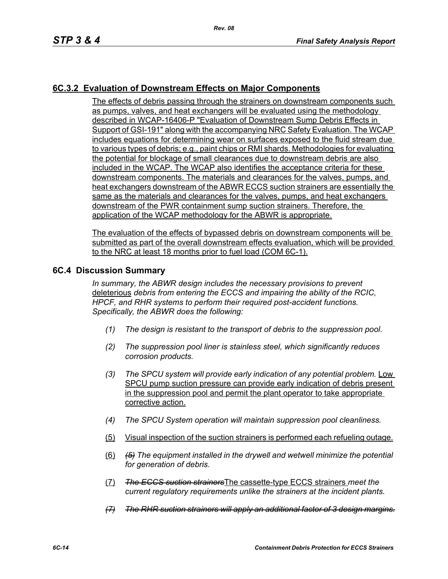## **6C.3.2 Evaluation of Downstream Effects on Major Components**

The effects of debris passing through the strainers on downstream components such as pumps, valves, and heat exchangers will be evaluated using the methodology described in WCAP-16406-P "Evaluation of Downstream Sump Debris Effects in Support of GSI-191" along with the accompanying NRC Safety Evaluation. The WCAP includes equations for determining wear on surfaces exposed to the fluid stream due to various types of debris; e.g., paint chips or RMI shards. Methodologies for evaluating the potential for blockage of small clearances due to downstream debris are also included in the WCAP. The WCAP also identifies the acceptance criteria for these downstream components. The materials and clearances for the valves, pumps, and heat exchangers downstream of the ABWR ECCS suction strainers are essentially the same as the materials and clearances for the valves, pumps, and heat exchangers downstream of the PWR containment sump suction strainers. Therefore, the application of the WCAP methodology for the ABWR is appropriate.

The evaluation of the effects of bypassed debris on downstream components will be submitted as part of the overall downstream effects evaluation, which will be provided to the NRC at least 18 months prior to fuel load (COM 6C-1).

#### **6C.4 Discussion Summary**

*In summary, the ABWR design includes the necessary provisions to prevent*  deleterious *debris from entering the ECCS and impairing the ability of the RCIC, HPCF, and RHR systems to perform their required post-accident functions. Specifically, the ABWR does the following:*

- *(1) The design is resistant to the transport of debris to the suppression pool.*
- *(2) The suppression pool liner is stainless steel, which significantly reduces corrosion products.*
- *(3) The SPCU system will provide early indication of any potential problem.* Low SPCU pump suction pressure can provide early indication of debris present in the suppression pool and permit the plant operator to take appropriate corrective action.
- *(4) The SPCU System operation will maintain suppression pool cleanliness.*
- (5) Visual inspection of the suction strainers is performed each refueling outage.
- (6) *(5) The equipment installed in the drywell and wetwell minimize the potential for generation of debris.*
- (7) *The ECCS suction strainers*The cassette-type ECCS strainers *meet the current regulatory requirements unlike the strainers at the incident plants.*
- *(7) The RHR suction strainers will apply an additional factor of 3 design margins.*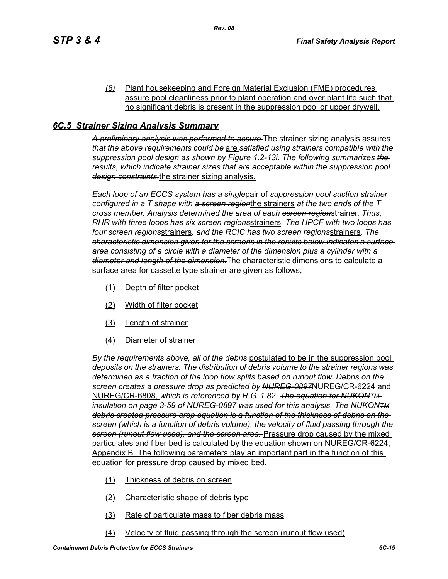*(8)* Plant housekeeping and Foreign Material Exclusion (FME) procedures assure pool cleanliness prior to plant operation and over plant life such that no significant debris is present in the suppression pool or upper drywell.

## *6C.5 Strainer Sizing Analysis Summary*

*A preliminary analysis was performed to assure* The strainer sizing analysis assures *that the above requirements could be* are *satisfied using strainers compatible with the suppression pool design as shown by Figure 1.2-13i. The following summarizes the results, which indicate strainer sizes that are acceptable within the suppression pool design constraints.*the strainer sizing analysis.

*Each loop of an ECCS system has a single*pair of *suppression pool suction strainer configured in a T shape with a screen region*the strainers *at the two ends of the T cross member. Analysis determined the area of each screen region*strainer. *Thus, RHR with three loops has six screen regions*strainers*. The HPCF with two loops has four screen regions*strainers*, and the RCIC has two screen regions*strainers*. The characteristic dimension given for the screens in the results below indicates a surface area consisting of a circle with a diameter of the dimension plus a cylinder with a diameter and length of the dimension.*The characteristic dimensions to calculate a surface area for cassette type strainer are given as follows,

- (1) Depth of filter pocket
- (2) Width of filter pocket
- (3) Length of strainer
- (4) Diameter of strainer

*By the requirements above, all of the debris* postulated to be in the suppression pool *deposits on the strainers. The distribution of debris volume to the strainer regions was determined as a fraction of the loop flow splits based on runout flow. Debris on the screen creates a pressure drop as predicted by NUREG-0897*NUREG/CR-6224 and NUREG/CR-6808, *which is referenced by R.G. 1.82. The equation for NUKONTM insulation on page 3-59 of NUREG-0897 was used for this analysis. The NUKONTM debris created pressure drop equation is a function of the thickness of debris on the screen (which is a function of debris volume), the velocity of fluid passing through the screen (runout flow used), and the screen area.* Pressure drop caused by the mixed particulates and fiber bed is calculated by the equation shown on NUREG/CR-6224, Appendix B. The following parameters play an important part in the function of this equation for pressure drop caused by mixed bed.

- (1) Thickness of debris on screen
- (2) Characteristic shape of debris type
- (3) Rate of particulate mass to fiber debris mass
- (4) Velocity of fluid passing through the screen (runout flow used)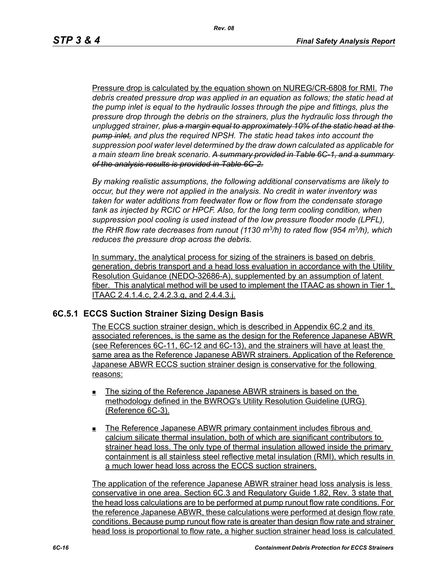Pressure drop is calculated by the equation shown on NUREG/CR-6808 for RMI. *The debris created pressure drop was applied in an equation as follows; the static head at the pump inlet is equal to the hydraulic losses through the pipe and fittings, plus the pressure drop through the debris on the strainers, plus the hydraulic loss through the unplugged strainer, plus a margin equal to approximately 10% of the static head at the pump inlet, and plus the required NPSH. The static head takes into account the suppression pool water level determined by the draw down calculated as applicable for a main steam line break scenario. A summary provided in Table 6C-1, and a summary of the analysis results is provided in Table 6C-2.*

*By making realistic assumptions, the following additional conservatisms are likely to occur, but they were not applied in the analysis. No credit in water inventory was taken for water additions from feedwater flow or flow from the condensate storage tank as injected by RCIC or HPCF. Also, for the long term cooling condition, when suppression pool cooling is used instead of the low pressure flooder mode (LPFL), the RHR flow rate decreases from runout (1130 m3/h) to rated flow (954 m3/h), which reduces the pressure drop across the debris.*

In summary, the analytical process for sizing of the strainers is based on debris generation, debris transport and a head loss evaluation in accordance with the Utility Resolution Guidance (NEDO-32686-A), supplemented by an assumption of latent fiber. This analytical method will be used to implement the ITAAC as shown in Tier 1, ITAAC 2.4.1.4.c, 2.4.2.3.g, and 2.4.4.3.j.

### **6C.5.1 ECCS Suction Strainer Sizing Design Basis**

The ECCS suction strainer design, which is described in Appendix 6C.2 and its associated references, is the same as the design for the Reference Japanese ABWR (see References 6C-11, 6C-12 and 6C-13), and the strainers will have at least the same area as the Reference Japanese ABWR strainers. Application of the Reference Japanese ABWR ECCS suction strainer design is conservative for the following reasons:

- The sizing of the Reference Japanese ABWR strainers is based on the methodology defined in the BWROG's Utility Resolution Guideline (URG) (Reference 6C-3).
- The Reference Japanese ABWR primary containment includes fibrous and calcium silicate thermal insulation, both of which are significant contributors to strainer head loss. The only type of thermal insulation allowed inside the primary containment is all stainless steel reflective metal insulation (RMI), which results in a much lower head loss across the ECCS suction strainers.

The application of the reference Japanese ABWR strainer head loss analysis is less conservative in one area. Section 6C.3 and Regulatory Guide 1.82, Rev. 3 state that the head loss calculations are to be performed at pump runout flow rate conditions. For the reference Japanese ABWR, these calculations were performed at design flow rate conditions. Because pump runout flow rate is greater than design flow rate and strainer head loss is proportional to flow rate, a higher suction strainer head loss is calculated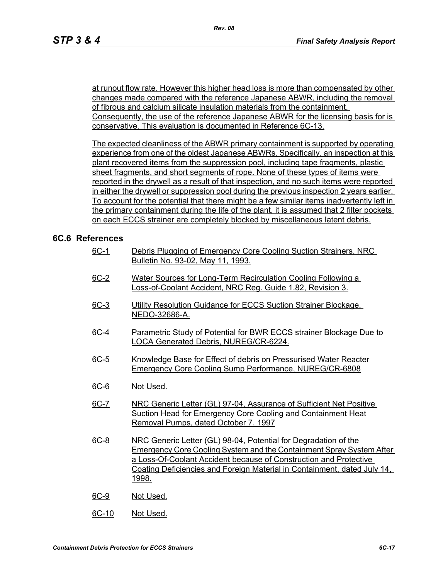at runout flow rate. However this higher head loss is more than compensated by other changes made compared with the reference Japanese ABWR, including the removal of fibrous and calcium silicate insulation materials from the containment. Consequently, the use of the reference Japanese ABWR for the licensing basis for is conservative. This evaluation is documented in Reference 6C-13.

The expected cleanliness of the ABWR primary containment is supported by operating experience from one of the oldest Japanese ABWRs. Specifically, an inspection at this plant recovered items from the suppression pool, including tape fragments, plastic sheet fragments, and short segments of rope. None of these types of items were reported in the drywell as a result of that inspection, and no such items were reported in either the drywell or suppression pool during the previous inspection 2 years earlier. To account for the potential that there might be a few similar items inadvertently left in the primary containment during the life of the plant, it is assumed that 2 filter pockets on each ECCS strainer are completely blocked by miscellaneous latent debris.

### **6C.6 References**

- 6C-1 Debris Plugging of Emergency Core Cooling Suction Strainers, NRC Bulletin No. 93-02, May 11, 1993.
- 6C-2 Water Sources for Long-Term Recirculation Cooling Following a Loss-of-Coolant Accident, NRC Reg. Guide 1.82, Revision 3.
- 6C-3 Utility Resolution Guidance for ECCS Suction Strainer Blockage. NEDO-32686-A.
- 6C-4 Parametric Study of Potential for BWR ECCS strainer Blockage Due to LOCA Generated Debris, NUREG/CR-6224.
- 6C-5 Knowledge Base for Effect of debris on Pressurised Water Reacter Emergency Core Cooling Sump Performance, NUREG/CR-6808
- 6C-6 Not Used.
- 6C-7 NRC Generic Letter (GL) 97-04, Assurance of Sufficient Net Positive Suction Head for Emergency Core Cooling and Containment Heat Removal Pumps, dated October 7, 1997
- 6C-8 NRC Generic Letter (GL) 98-04, Potential for Degradation of the Emergency Core Cooling System and the Containment Spray System After a Loss-Of-Coolant Accident because of Construction and Protective Coating Deficiencies and Foreign Material in Containment, dated July 14, 1998.
- 6C-9 Not Used.
- 6C-10 Not Used.

*Rev. 08*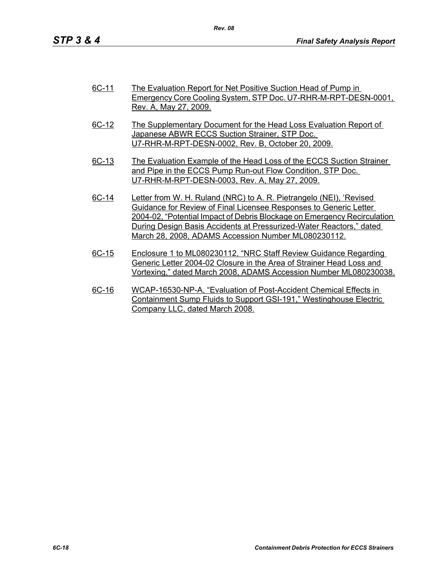| 6C-11        | The Evaluation Report for Net Positive Suction Head of Pump in           |
|--------------|--------------------------------------------------------------------------|
|              | Emergency Core Cooling System, STP Doc. U7-RHR-M-RPT-DESN-0001,          |
|              | Rev. A, May 27, 2009.                                                    |
| <u>6C-12</u> | The Supplementary Document for the Head Loss Evaluation Report of        |
|              | Japanese ABWR ECCS Suction Strainer, STP Doc.                            |
|              | U7-RHR-M-RPT-DESN-0002, Rev. B, October 20, 2009.                        |
|              |                                                                          |
| 6C-13        | The Evaluation Example of the Head Loss of the ECCS Suction Strainer     |
|              | and Pipe in the ECCS Pump Run-out Flow Condition, STP Doc.               |
|              | U7-RHR-M-RPT-DESN-0003, Rev. A, May 27, 2009.                            |
|              |                                                                          |
| 6C-14        | Letter from W. H. Ruland (NRC) to A. R. Pietrangelo (NEI), 'Revised      |
|              | Guidance for Review of Final Licensee Responses to Generic Letter        |
|              | 2004-02, "Potential Impact of Debris Blockage on Emergency Recirculation |
|              | During Design Basis Accidents at Pressurized-Water Reactors." dated      |
|              | March 28, 2008, ADAMS Accession Number ML080230112.                      |
|              |                                                                          |
| RC 15        | Enclosure 1 to ML080220112 "NDC Staff Doview Guidance Peaarding          |

- 6C-15 Enclosure 1 to ML080230112, "NRC Staff Review Guidance Regarding Generic Letter 2004-02 Closure in the Area of Strainer Head Loss and Vortexing," dated March 2008, ADAMS Accession Number ML080230038.
- 6C-16 WCAP-16530-NP-A, "Evaluation of Post-Accident Chemical Effects in Containment Sump Fluids to Support GSI-191," Westinghouse Electric Company LLC, dated March 2008.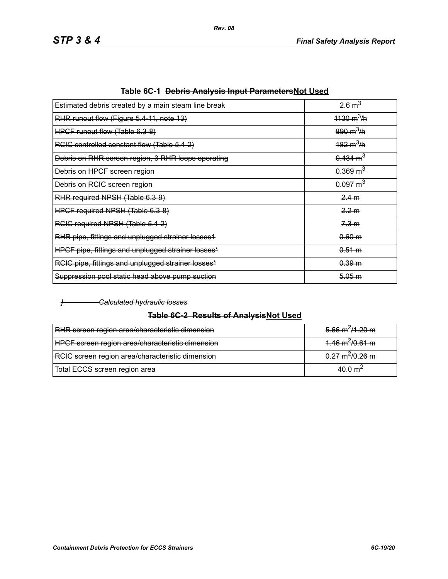| Estimated debris created by a main steam line break | $26 \text{ m}^3$            |
|-----------------------------------------------------|-----------------------------|
| RHR runout flow (Figure 5.4-11, note 13)            | $1130 \text{ m}^3/\text{h}$ |
| HPCF runout flow (Table 6.3-8)                      | $890 \text{ m}^3/\text{h}$  |
| RCIC controlled constant flow (Table 5.4-2)         | $182 \text{ m}^3/\text{h}$  |
| Debris on RHR screen region, 3 RHR loops operating  | $0.434 \text{ m}^3$         |
| Debris on HPCF screen region                        | $0.369 \text{ m}^3$         |
| Debris on RCIC screen region                        | $0.097 \text{ m}^3$         |
| RHR required NPSH (Table 6.3-9)                     | 2.4 m                       |
| HPCF required NPSH (Table 6.3-8)                    | 2.2 m                       |
| RCIC required NPSH (Table 5.4-2)                    | 7.3 m                       |
| RHR pipe, fittings and unplugged strainer losses1   | 0.60 m                      |
| HPCF pipe, fittings and unplugged strainer losses*  | 0.51 m                      |
| RCIC pipe, fittings and unplugged strainer losses*  | 0.39 m                      |
| Suppression pool static head above pump suction     | 5.05 m                      |
|                                                     |                             |

|  | Table 6C-1 <del>Debris Analysis Input Parameters</del> Not Used |
|--|-----------------------------------------------------------------|
|--|-----------------------------------------------------------------|

#### *] Calculated hydraulic losses*

## **Table 6C-2 Results of AnalysisNot Used**

| RHR screen region area/characteristic dimension  | $5.66 \text{ m}^2/1.20 \text{ m}$ |
|--------------------------------------------------|-----------------------------------|
| HPCF screen region area/characteristic dimension | $4.46 \text{ m}^2/0.61 \text{ m}$ |
| RCIC screen region area/characteristic dimension | $0.27 \text{ m}^2/0.26 \text{ m}$ |
| Total ECCS screen region area                    | $A \cap \cap m$                   |